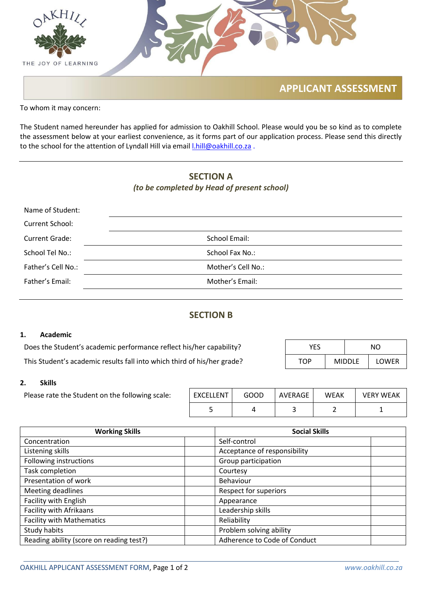

To whom it may concern:

The Student named hereunder has applied for admission to Oakhill School. Please would you be so kind as to complete the assessment below at your earliest convenience, as it forms part of our application process. Please send this directly to the school for the attention of Lyndall Hill via email **Lhill@oakhill.co.za**.

# **SECTION A** *(to be completed by Head of present school)*

| Name of Student:      |                    |
|-----------------------|--------------------|
| Current School:       |                    |
| <b>Current Grade:</b> | School Email:      |
| School Tel No.:       | School Fax No.:    |
| Father's Cell No.:    | Mother's Cell No.: |
| Father's Email:       | Mother's Email:    |

## **SECTION B**

#### **1. Academic**

| Does the Student's academic performance reflect his/her capability?     |     |               | NO.          |  |
|-------------------------------------------------------------------------|-----|---------------|--------------|--|
| This Student's academic results fall into which third of his/her grade? | TOP | <b>MIDDLE</b> | <b>LOWER</b> |  |

#### **2. Skills**

| Please rate the Student on the following scale: | EXCELLENT | GOOD | AVERAGE | <b>WEAK</b> | <b>VERY WEAK</b> |
|-------------------------------------------------|-----------|------|---------|-------------|------------------|
|                                                 |           |      |         |             |                  |

| <b>Working Skills</b>                    | <b>Social Skills</b>         |  |
|------------------------------------------|------------------------------|--|
| Concentration                            | Self-control                 |  |
| Listening skills                         | Acceptance of responsibility |  |
| Following instructions                   | Group participation          |  |
| Task completion                          | Courtesy                     |  |
| Presentation of work                     | Behaviour                    |  |
| Meeting deadlines                        | <b>Respect for superiors</b> |  |
| Facility with English                    | Appearance                   |  |
| Facility with Afrikaans                  | Leadership skills            |  |
| <b>Facility with Mathematics</b>         | Reliability                  |  |
| Study habits                             | Problem solving ability      |  |
| Reading ability (score on reading test?) | Adherence to Code of Conduct |  |